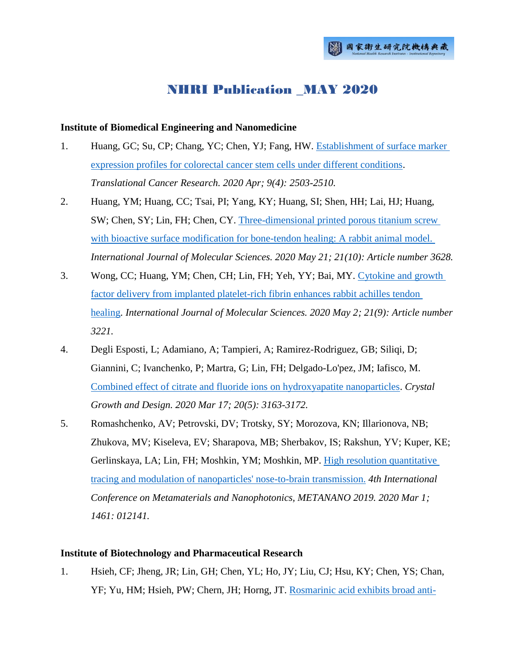# NHRI Publication \_MAY 2020

#### **Institute of Biomedical Engineering and Nanomedicine**

- 1. Huang, GC; Su, CP; Chang, YC; Chen, YJ; Fang, HW. [Establishment of surface marker](http://ir.nhri.org.tw/handle/3990099045/12705)  [expression profiles for colorectal cancer stem cells under different conditions.](http://ir.nhri.org.tw/handle/3990099045/12705) *Translational Cancer Research. 2020 Apr; 9(4): 2503-2510.*
- 2. Huang, YM; Huang, CC; Tsai, PI; Yang, KY; Huang, SI; Shen, HH; Lai, HJ; Huang, SW; Chen, SY; Lin, FH; Chen, CY. [Three-dimensional printed porous titanium screw](http://ir.nhri.org.tw/handle/3990099045/12706)  [with bioactive surface modification for bone-tendon healing: A rabbit animal model.](http://ir.nhri.org.tw/handle/3990099045/12706)  *International Journal of Molecular Sciences. 2020 May 21; 21(10): Article number 3628.*
- 3. Wong, CC; Huang, YM; Chen, CH; Lin, FH; Yeh, YY; Bai, MY. [Cytokine and growth](http://ir.nhri.org.tw/handle/3990099045/12707)  [factor delivery from implanted platelet-rich fibrin enhances rabbit achilles tendon](http://ir.nhri.org.tw/handle/3990099045/12707)  [healing.](http://ir.nhri.org.tw/handle/3990099045/12707) *International Journal of Molecular Sciences. 2020 May 2; 21(9): Article number 3221.*
- 4. Degli Esposti, L; Adamiano, A; Tampieri, A; Ramirez-Rodriguez, GB; Siliqi, D; Giannini, C; Ivanchenko, P; Martra, G; Lin, FH; Delgado-Lo'pez, JM; Iafisco, M. [Combined effect of citrate and fluoride ions on hydroxyapatite nanoparticles.](http://ir.nhri.org.tw/handle/3990099045/12708) *Crystal Growth and Design. 2020 Mar 17; 20(5): 3163-3172.*
- 5. Romashchenko, AV; Petrovski, DV; Trotsky, SY; Morozova, KN; Illarionova, NB; Zhukova, MV; Kiseleva, EV; Sharapova, MB; Sherbakov, IS; Rakshun, YV; Kuper, KE; Gerlinskaya, LA; Lin, FH; Moshkin, YM; Moshkin, MP. [High resolution quantitative](http://ir.nhri.org.tw/handle/3990099045/12714)  [tracing and modulation of nanoparticles' nose-to-brain transmission.](http://ir.nhri.org.tw/handle/3990099045/12714) *4th International Conference on Metamaterials and Nanophotonics, METANANO 2019. 2020 Mar 1; 1461: 012141.*

## **Institute of Biotechnology and Pharmaceutical Research**

1. Hsieh, CF; Jheng, JR; Lin, GH; Chen, YL; Ho, JY; Liu, CJ; Hsu, KY; Chen, YS; Chan, YF; Yu, HM; Hsieh, PW; Chern, JH; Horng, JT. [Rosmarinic acid exhibits broad anti-](http://ir.nhri.org.tw/handle/3990099045/12667)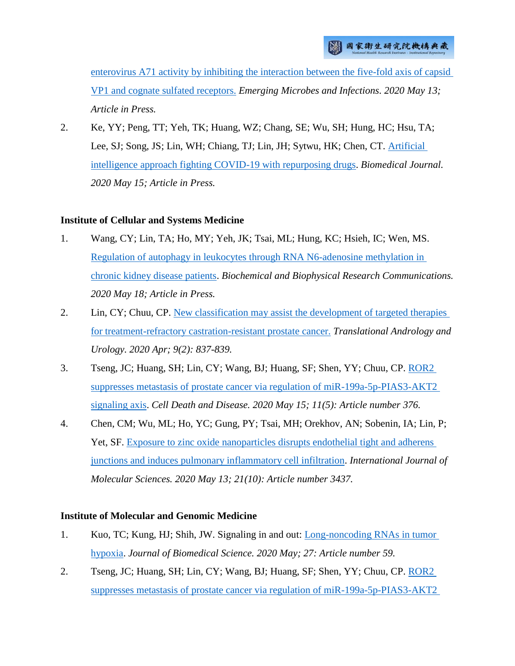[enterovirus A71 activity by inhibiting the interaction between the five-fold axis of capsid](http://ir.nhri.org.tw/handle/3990099045/12667)  [VP1 and cognate sulfated receptors.](http://ir.nhri.org.tw/handle/3990099045/12667) *Emerging Microbes and Infections. 2020 May 13; Article in Press.*

2. Ke, YY; Peng, TT; Yeh, TK; Huang, WZ; Chang, SE; Wu, SH; Hung, HC; Hsu, TA; Lee, SJ; Song, JS; Lin, WH; Chiang, TJ; Lin, JH; Sytwu, HK; Chen, CT. [Artificial](http://ir.nhri.org.tw/handle/3990099045/12668)  [intelligence approach fighting COVID-19 with repurposing drugs.](http://ir.nhri.org.tw/handle/3990099045/12668) *Biomedical Journal. 2020 May 15; Article in Press.*

## **Institute of Cellular and Systems Medicine**

- 1. Wang, CY; Lin, TA; Ho, MY; Yeh, JK; Tsai, ML; Hung, KC; Hsieh, IC; Wen, MS. [Regulation of autophagy in leukocytes through RNA N6-adenosine methylation in](http://ir.nhri.org.tw/handle/3990099045/12672)  [chronic kidney disease patients.](http://ir.nhri.org.tw/handle/3990099045/12672) *Biochemical and Biophysical Research Communications. 2020 May 18; Article in Press.*
- 2. Lin, CY; Chuu, CP. [New classification may assist the development of targeted therapies](http://ir.nhri.org.tw/handle/3990099045/12673)  [for treatment-refractory castration-resistant prostate cancer.](http://ir.nhri.org.tw/handle/3990099045/12673) *Translational Andrology and Urology. 2020 Apr; 9(2): 837-839.*
- 3. Tseng, JC; Huang, SH; Lin, CY; Wang, BJ; Huang, SF; Shen, YY; Chuu, CP. [ROR2](http://ir.nhri.org.tw/handle/3990099045/12674)  [suppresses metastasis of prostate cancer via regulation of miR-199a-5p-PIAS3-AKT2](http://ir.nhri.org.tw/handle/3990099045/12674)  [signaling axis.](http://ir.nhri.org.tw/handle/3990099045/12674) *Cell Death and Disease. 2020 May 15; 11(5): Article number 376.*
- 4. Chen, CM; Wu, ML; Ho, YC; Gung, PY; Tsai, MH; Orekhov, AN; Sobenin, IA; Lin, P; Yet, SF. [Exposure to zinc oxide nanoparticles disrupts endothelial tight and adherens](http://ir.nhri.org.tw/handle/3990099045/12675)  [junctions and induces pulmonary inflammatory cell infiltration.](http://ir.nhri.org.tw/handle/3990099045/12675) *International Journal of Molecular Sciences. 2020 May 13; 21(10): Article number 3437.*

# **Institute of Molecular and Genomic Medicine**

- 1. Kuo, TC; Kung, HJ; Shih, JW. Signaling in and out: [Long-noncoding RNAs in tumor](http://ir.nhri.org.tw/handle/3990099045/12666)  [hypoxia.](http://ir.nhri.org.tw/handle/3990099045/12666) *Journal of Biomedical Science. 2020 May; 27: Article number 59.*
- 2. Tseng, JC; Huang, SH; Lin, CY; Wang, BJ; Huang, SF; Shen, YY; Chuu, CP. [ROR2](http://ir.nhri.org.tw/handle/3990099045/12674)  [suppresses metastasis of prostate cancer via regulation of miR-199a-5p-PIAS3-AKT2](http://ir.nhri.org.tw/handle/3990099045/12674)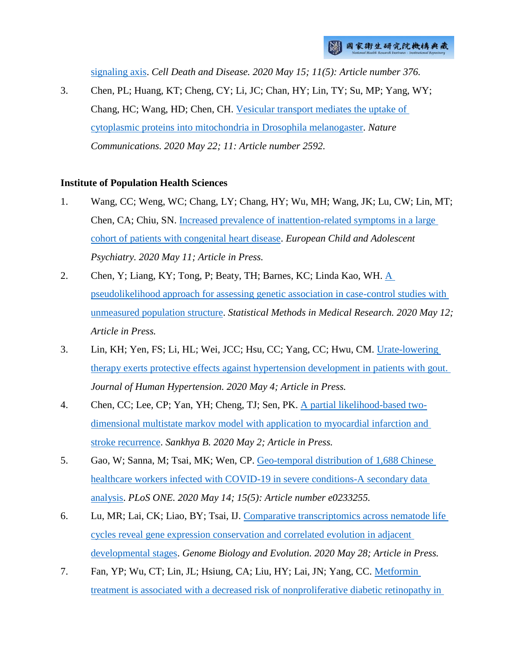[signaling axis.](http://ir.nhri.org.tw/handle/3990099045/12674) *Cell Death and Disease. 2020 May 15; 11(5): Article number 376.*

3. Chen, PL; Huang, KT; Cheng, CY; Li, JC; Chan, HY; Lin, TY; Su, MP; Yang, WY; Chang, HC; Wang, HD; Chen, CH. [Vesicular transport mediates the uptake of](http://ir.nhri.org.tw/handle/3990099045/12715)  [cytoplasmic proteins into mitochondria in Drosophila melanogaster.](http://ir.nhri.org.tw/handle/3990099045/12715) *Nature Communications. 2020 May 22; 11: Article number 2592.*

#### **Institute of Population Health Sciences**

- 1. Wang, CC; Weng, WC; Chang, LY; Chang, HY; Wu, MH; Wang, JK; Lu, CW; Lin, MT; Chen, CA; Chiu, SN. [Increased prevalence of inattention-related symptoms in a large](http://ir.nhri.org.tw/handle/3990099045/12683)  [cohort of patients with congenital heart disease.](http://ir.nhri.org.tw/handle/3990099045/12683) *European Child and Adolescent Psychiatry. 2020 May 11; Article in Press.*
- 2. Chen, Y; Liang, KY; Tong, P; Beaty, TH; Barnes, KC; Linda Kao, WH. [A](http://ir.nhri.org.tw/handle/3990099045/12684)  [pseudolikelihood approach for assessing genetic association in case-control studies with](http://ir.nhri.org.tw/handle/3990099045/12684)  [unmeasured population structure.](http://ir.nhri.org.tw/handle/3990099045/12684) *Statistical Methods in Medical Research. 2020 May 12; Article in Press.*
- 3. Lin, KH; Yen, FS; Li, HL; Wei, JCC; Hsu, CC; Yang, CC; Hwu, CM. [Urate-lowering](http://ir.nhri.org.tw/handle/3990099045/12686)  [therapy exerts protective effects against hypertension development in patients with gout.](http://ir.nhri.org.tw/handle/3990099045/12686)  *Journal of Human Hypertension. 2020 May 4; Article in Press.*
- 4. Chen, CC; Lee, CP; Yan, YH; Cheng, TJ; Sen, PK. [A partial likelihood-based two](http://ir.nhri.org.tw/handle/3990099045/12687)[dimensional multistate markov model with application to myocardial infarction and](http://ir.nhri.org.tw/handle/3990099045/12687)  [stroke recurrence.](http://ir.nhri.org.tw/handle/3990099045/12687) *Sankhya B. 2020 May 2; Article in Press.*
- 5. Gao, W; Sanna, M; Tsai, MK; Wen, CP. [Geo-temporal distribution of 1,688 Chinese](http://ir.nhri.org.tw/handle/3990099045/12688)  [healthcare workers infected with COVID-19 in severe conditions-A secondary data](http://ir.nhri.org.tw/handle/3990099045/12688)  [analysis.](http://ir.nhri.org.tw/handle/3990099045/12688) *PLoS ONE. 2020 May 14; 15(5): Article number e0233255.*
- 6. Lu, MR; Lai, CK; Liao, BY; Tsai, IJ. [Comparative transcriptomics across nematode life](http://ir.nhri.org.tw/handle/3990099045/12689)  [cycles reveal gene expression conservation and correlated evolution in adjacent](http://ir.nhri.org.tw/handle/3990099045/12689)  [developmental stages.](http://ir.nhri.org.tw/handle/3990099045/12689) *Genome Biology and Evolution. 2020 May 28; Article in Press.*
- 7. Fan, YP; Wu, CT; Lin, JL; Hsiung, CA; Liu, HY; Lai, JN; Yang, CC. [Metformin](http://ir.nhri.org.tw/handle/3990099045/12690)  [treatment is associated with a decreased risk of nonproliferative diabetic retinopathy in](http://ir.nhri.org.tw/handle/3990099045/12690)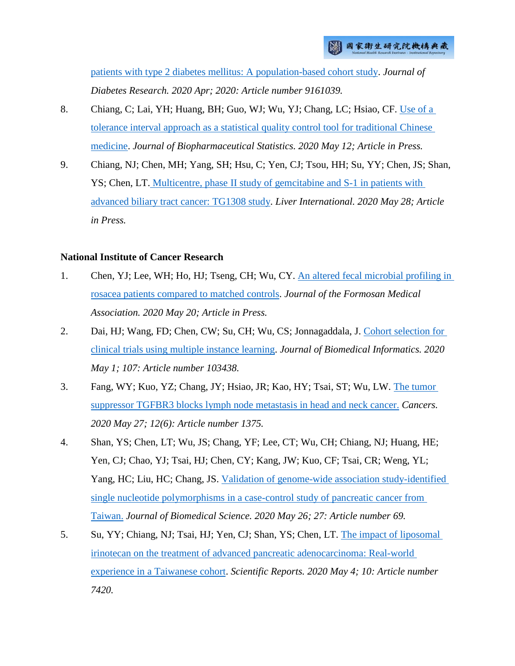[patients with type 2 diabetes mellitus: A population-based cohort study.](http://ir.nhri.org.tw/handle/3990099045/12690) *Journal of Diabetes Research. 2020 Apr; 2020: Article number 9161039.*

- 8. Chiang, C; Lai, YH; Huang, BH; Guo, WJ; Wu, YJ; Chang, LC; Hsiao, CF. Use of a [tolerance interval approach as a statistical quality control tool for traditional Chinese](http://ir.nhri.org.tw/handle/3990099045/12691)  [medicine.](http://ir.nhri.org.tw/handle/3990099045/12691) *Journal of Biopharmaceutical Statistics. 2020 May 12; Article in Press.*
- 9. Chiang, NJ; Chen, MH; Yang, SH; Hsu, C; Yen, CJ; Tsou, HH; Su, YY; Chen, JS; Shan, YS; Chen, LT. [Multicentre, phase II study of gemcitabine and S-1 in patients with](http://ir.nhri.org.tw/handle/3990099045/12704)  [advanced biliary tract cancer: TG1308 study.](http://ir.nhri.org.tw/handle/3990099045/12704) *Liver International. 2020 May 28; Article in Press.*

## **National Institute of Cancer Research**

- 1. Chen, YJ; Lee, WH; Ho, HJ; Tseng, CH; Wu, CY. [An altered fecal microbial profiling in](http://ir.nhri.org.tw/handle/3990099045/12697)  [rosacea patients compared to matched controls.](http://ir.nhri.org.tw/handle/3990099045/12697) *Journal of the Formosan Medical Association. 2020 May 20; Article in Press.*
- 2. Dai, HJ; Wang, FD; Chen, CW; Su, CH; Wu, CS; Jonnagaddala, J. [Cohort selection for](http://ir.nhri.org.tw/handle/3990099045/12698)  [clinical trials using multiple instance learning.](http://ir.nhri.org.tw/handle/3990099045/12698) *Journal of Biomedical Informatics. 2020 May 1; 107: Article number 103438.*
- 3. Fang, WY; Kuo, YZ; Chang, JY; Hsiao, JR; Kao, HY; Tsai, ST; Wu, LW. [The tumor](http://ir.nhri.org.tw/handle/3990099045/12699)  suppressor [TGFBR3 blocks lymph node metastasis in head and neck cancer.](http://ir.nhri.org.tw/handle/3990099045/12699) *Cancers. 2020 May 27; 12(6): Article number 1375.*
- 4. Shan, YS; Chen, LT; Wu, JS; Chang, YF; Lee, CT; Wu, CH; Chiang, NJ; Huang, HE; Yen, CJ; Chao, YJ; Tsai, HJ; Chen, CY; Kang, JW; Kuo, CF; Tsai, CR; Weng, YL; Yang, HC; Liu, HC; Chang, JS. [Validation of genome-wide association study-identified](http://ir.nhri.org.tw/handle/3990099045/12700)  [single nucleotide polymorphisms in a case-control study of pancreatic cancer from](http://ir.nhri.org.tw/handle/3990099045/12700)  [Taiwan.](http://ir.nhri.org.tw/handle/3990099045/12700) *Journal of Biomedical Science. 2020 May 26; 27: Article number 69.*
- 5. Su, YY; Chiang, NJ; Tsai, HJ; Yen, CJ; Shan, YS; Chen, LT. [The impact of liposomal](http://ir.nhri.org.tw/handle/3990099045/12702)  [irinotecan on the treatment of advanced pancreatic adenocarcinoma: Real-world](http://ir.nhri.org.tw/handle/3990099045/12702)  [experience in a Taiwanese cohort.](http://ir.nhri.org.tw/handle/3990099045/12702) *Scientific Reports. 2020 May 4; 10: Article number 7420.*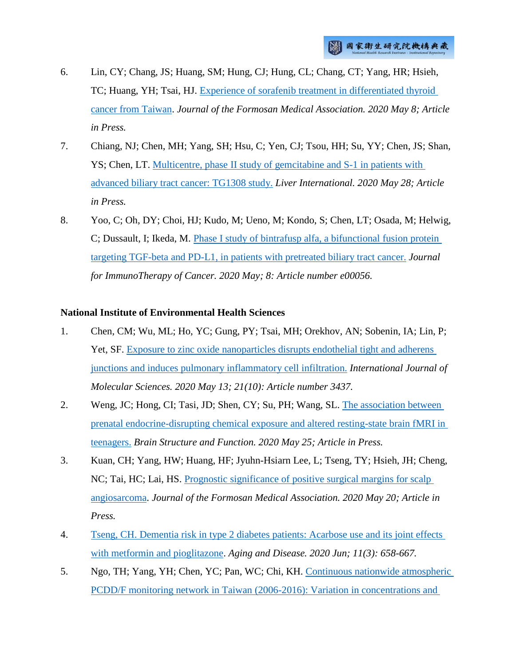- 6. Lin, CY; Chang, JS; Huang, SM; Hung, CJ; Hung, CL; Chang, CT; Yang, HR; Hsieh, TC; Huang, YH; Tsai, HJ. [Experience of sorafenib treatment in differentiated thyroid](http://ir.nhri.org.tw/handle/3990099045/12703)  [cancer from Taiwan.](http://ir.nhri.org.tw/handle/3990099045/12703) *Journal of the Formosan Medical Association. 2020 May 8; Article in Press.*
- 7. Chiang, NJ; Chen, MH; Yang, SH; Hsu, C; Yen, CJ; Tsou, HH; Su, YY; Chen, JS; Shan, YS; Chen, LT. [Multicentre, phase II study of gemcitabine and S-1 in patients with](http://ir.nhri.org.tw/handle/3990099045/12704)  [advanced biliary tract cancer: TG1308 study.](http://ir.nhri.org.tw/handle/3990099045/12704) *Liver International. 2020 May 28; Article in Press.*
- 8. Yoo, C; Oh, DY; Choi, HJ; Kudo, M; Ueno, M; Kondo, S; Chen, LT; Osada, M; Helwig, C; Dussault, I; Ikeda, M. [Phase I study of bintrafusp alfa, a bifunctional fusion protein](http://ir.nhri.org.tw/handle/3990099045/12711)  [targeting TGF-beta and PD-L1, in patients with pretreated biliary tract cancer.](http://ir.nhri.org.tw/handle/3990099045/12711) *Journal for ImmunoTherapy of Cancer. 2020 May; 8: Article number e00056.*

## **National Institute of Environmental Health Sciences**

- 1. Chen, CM; Wu, ML; Ho, YC; Gung, PY; Tsai, MH; Orekhov, AN; Sobenin, IA; Lin, P; Yet, SF. [Exposure to zinc oxide nanoparticles disrupts endothelial tight and adherens](http://ir.nhri.org.tw/handle/3990099045/12675)  [junctions and induces pulmonary inflammatory cell infiltration.](http://ir.nhri.org.tw/handle/3990099045/12675) *International Journal of Molecular Sciences. 2020 May 13; 21(10): Article number 3437.*
- 2. Weng, JC; Hong, CI; Tasi, JD; Shen, CY; Su, PH; Wang, SL. [The association between](http://ir.nhri.org.tw/handle/3990099045/12693)  prenatal [endocrine-disrupting chemical exposure and altered resting-state brain fMRI in](http://ir.nhri.org.tw/handle/3990099045/12693)  [teenagers.](http://ir.nhri.org.tw/handle/3990099045/12693) *Brain Structure and Function. 2020 May 25; Article in Press.*
- 3. Kuan, CH; Yang, HW; Huang, HF; Jyuhn-Hsiarn Lee, L; Tseng, TY; Hsieh, JH; Cheng, NC; Tai, HC; Lai, HS. [Prognostic significance of positive surgical margins for scalp](http://ir.nhri.org.tw/handle/3990099045/12694)  [angiosarcoma.](http://ir.nhri.org.tw/handle/3990099045/12694) *Journal of the Formosan Medical Association. 2020 May 20; Article in Press.*
- 4. [Tseng, CH. Dementia risk in type 2 diabetes patients: Acarbose use and its joint effects](http://ir.nhri.org.tw/handle/3990099045/12695)  [with metformin and pioglitazone.](http://ir.nhri.org.tw/handle/3990099045/12695) *Aging and Disease. 2020 Jun; 11(3): 658-667.*
- 5. Ngo, TH; Yang, YH; Chen, YC; Pan, WC; Chi, KH. [Continuous nationwide atmospheric](http://ir.nhri.org.tw/handle/3990099045/12696)  [PCDD/F monitoring network in Taiwan \(2006-2016\): Variation in concentrations and](http://ir.nhri.org.tw/handle/3990099045/12696)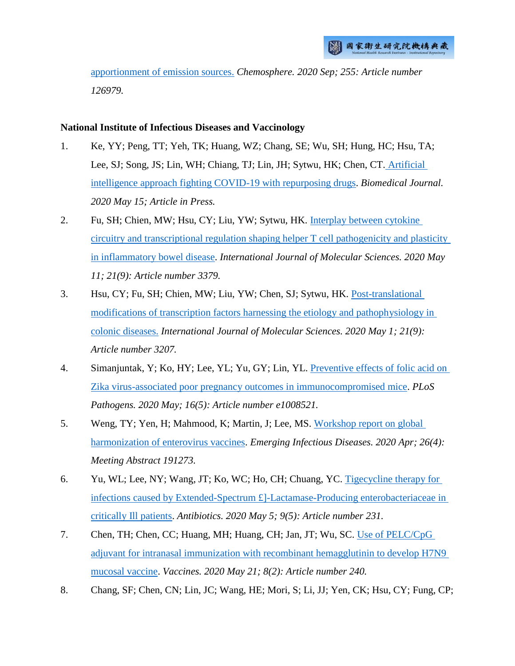[apportionment of emission sources.](http://ir.nhri.org.tw/handle/3990099045/12696) *Chemosphere. 2020 Sep; 255: Article number 126979.*

## **National Institute of Infectious Diseases and Vaccinology**

- 1. Ke, YY; Peng, TT; Yeh, TK; Huang, WZ; Chang, SE; Wu, SH; Hung, HC; Hsu, TA; Lee, SJ; Song, JS; Lin, WH; Chiang, TJ; Lin, JH; Sytwu, HK; Chen, CT. [Artificial](http://ir.nhri.org.tw/handle/3990099045/12668)  [intelligence approach fighting COVID-19 with repurposing drugs.](http://ir.nhri.org.tw/handle/3990099045/12668) *Biomedical Journal. 2020 May 15; Article in Press.*
- 2. Fu, SH; Chien, MW; Hsu, CY; Liu, YW; Sytwu, HK. [Interplay between cytokine](http://ir.nhri.org.tw/handle/3990099045/12676)  [circuitry and transcriptional regulation shaping helper T cell pathogenicity and plasticity](http://ir.nhri.org.tw/handle/3990099045/12676)  [in inflammatory bowel disease.](http://ir.nhri.org.tw/handle/3990099045/12676) *International Journal of Molecular Sciences. 2020 May 11; 21(9): Article number 3379.*
- 3. Hsu, CY; Fu, SH; Chien, MW; Liu, YW; Chen, SJ; Sytwu, HK. [Post-translational](http://ir.nhri.org.tw/handle/3990099045/12677)  [modifications of transcription factors harnessing the etiology and pathophysiology in](http://ir.nhri.org.tw/handle/3990099045/12677)  [colonic diseases.](http://ir.nhri.org.tw/handle/3990099045/12677) *International Journal of Molecular Sciences. 2020 May 1; 21(9): Article number 3207.*
- 4. Simanjuntak, Y; Ko, HY; Lee, YL; Yu, GY; Lin, YL. [Preventive effects of folic acid on](http://ir.nhri.org.tw/handle/3990099045/12678)  [Zika virus-associated poor pregnancy outcomes in immunocompromised mice.](http://ir.nhri.org.tw/handle/3990099045/12678) *PLoS Pathogens. 2020 May; 16(5): Article number e1008521.*
- 5. Weng, TY; Yen, H; Mahmood, K; Martin, J; Lee, MS. [Workshop report on global](http://ir.nhri.org.tw/handle/3990099045/12679)  [harmonization of enterovirus vaccines.](http://ir.nhri.org.tw/handle/3990099045/12679) *Emerging Infectious Diseases. 2020 Apr; 26(4): Meeting Abstract 191273.*
- 6. Yu, WL; Lee, NY; Wang, JT; Ko, WC; Ho, CH; Chuang, YC. [Tigecycline therapy for](http://ir.nhri.org.tw/handle/3990099045/12680)  [infections caused by Extended-Spectrum £\]-Lactamase-Producing enterobacteriaceae in](http://ir.nhri.org.tw/handle/3990099045/12680)  [critically Ill patients.](http://ir.nhri.org.tw/handle/3990099045/12680) *Antibiotics. 2020 May 5; 9(5): Article number 231.*
- 7. Chen, TH; Chen, CC; Huang, MH; Huang, CH; Jan, JT; Wu, SC. [Use of PELC/CpG](http://ir.nhri.org.tw/handle/3990099045/12681)  [adjuvant for intranasal immunization with recombinant hemagglutinin to develop H7N9](http://ir.nhri.org.tw/handle/3990099045/12681)  [mucosal vaccine.](http://ir.nhri.org.tw/handle/3990099045/12681) *Vaccines. 2020 May 21; 8(2): Article number 240.*
- 8. Chang, SF; Chen, CN; Lin, JC; Wang, HE; Mori, S; Li, JJ; Yen, CK; Hsu, CY; Fung, CP;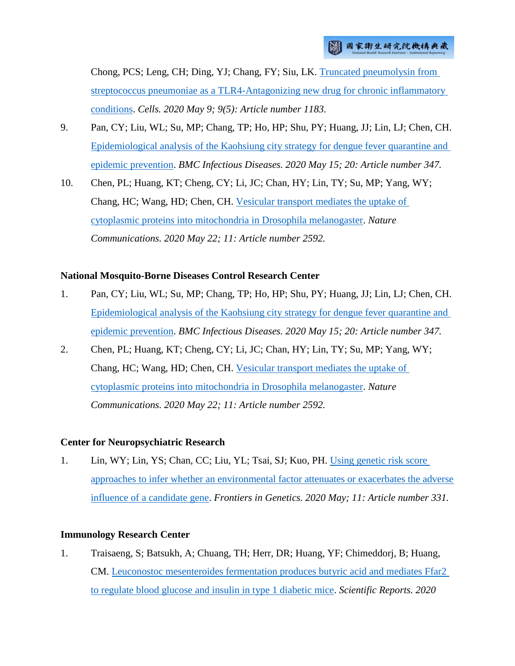Chong, PCS; Leng, CH; Ding, YJ; Chang, FY; Siu, LK. [Truncated pneumolysin from](http://ir.nhri.org.tw/handle/3990099045/12682)  [streptococcus pneumoniae as a TLR4-Antagonizing new drug for chronic inflammatory](http://ir.nhri.org.tw/handle/3990099045/12682)  [conditions.](http://ir.nhri.org.tw/handle/3990099045/12682) *Cells. 2020 May 9; 9(5): Article number 1183.*

- 9. Pan, CY; Liu, WL; Su, MP; Chang, TP; Ho, HP; Shu, PY; Huang, JJ; Lin, LJ; Chen, CH. Epidemiological analysis [of the Kaohsiung city strategy for dengue fever quarantine and](http://ir.nhri.org.tw/handle/3990099045/12712)  [epidemic prevention.](http://ir.nhri.org.tw/handle/3990099045/12712) *BMC Infectious Diseases. 2020 May 15; 20: Article number 347.*
- 10. Chen, PL; Huang, KT; Cheng, CY; Li, JC; Chan, HY; Lin, TY; Su, MP; Yang, WY; Chang, HC; Wang, HD; Chen, CH. [Vesicular transport mediates the uptake of](http://ir.nhri.org.tw/handle/3990099045/12715)  [cytoplasmic proteins into mitochondria in Drosophila melanogaster.](http://ir.nhri.org.tw/handle/3990099045/12715) *Nature Communications. 2020 May 22; 11: Article number 2592.*

## **National Mosquito-Borne Diseases Control Research Center**

- 1. Pan, CY; Liu, WL; Su, MP; Chang, TP; Ho, HP; Shu, PY; Huang, JJ; Lin, LJ; Chen, CH. [Epidemiological analysis of the Kaohsiung city strategy for](http://ir.nhri.org.tw/handle/3990099045/12712) dengue fever quarantine and [epidemic prevention.](http://ir.nhri.org.tw/handle/3990099045/12712) *BMC Infectious Diseases. 2020 May 15; 20: Article number 347.*
- 2. Chen, PL; Huang, KT; Cheng, CY; Li, JC; Chan, HY; Lin, TY; Su, MP; Yang, WY; Chang, HC; Wang, HD; Chen, CH. [Vesicular transport mediates the uptake of](http://ir.nhri.org.tw/handle/3990099045/12715)  [cytoplasmic proteins into mitochondria in Drosophila melanogaster.](http://ir.nhri.org.tw/handle/3990099045/12715) *Nature Communications. 2020 May 22; 11: Article number 2592.*

## **Center for Neuropsychiatric Research**

1. Lin, WY; Lin, YS; Chan, CC; Liu, YL; Tsai, SJ; Kuo, PH. [Using genetic risk score](http://ir.nhri.org.tw/handle/3990099045/12692)  [approaches to infer whether an environmental factor attenuates or exacerbates the adverse](http://ir.nhri.org.tw/handle/3990099045/12692)  [influence of a candidate gene.](http://ir.nhri.org.tw/handle/3990099045/12692) *Frontiers in Genetics. 2020 May; 11: Article number 331.*

## **Immunology Research Center**

1. Traisaeng, S; Batsukh, A; Chuang, TH; Herr, DR; Huang, YF; Chimeddorj, B; Huang, CM. [Leuconostoc mesenteroides fermentation produces butyric acid and mediates Ffar2](http://ir.nhri.org.tw/handle/3990099045/12669)  [to regulate blood glucose and insulin in type 1 diabetic mice.](http://ir.nhri.org.tw/handle/3990099045/12669) *Scientific Reports. 2020*